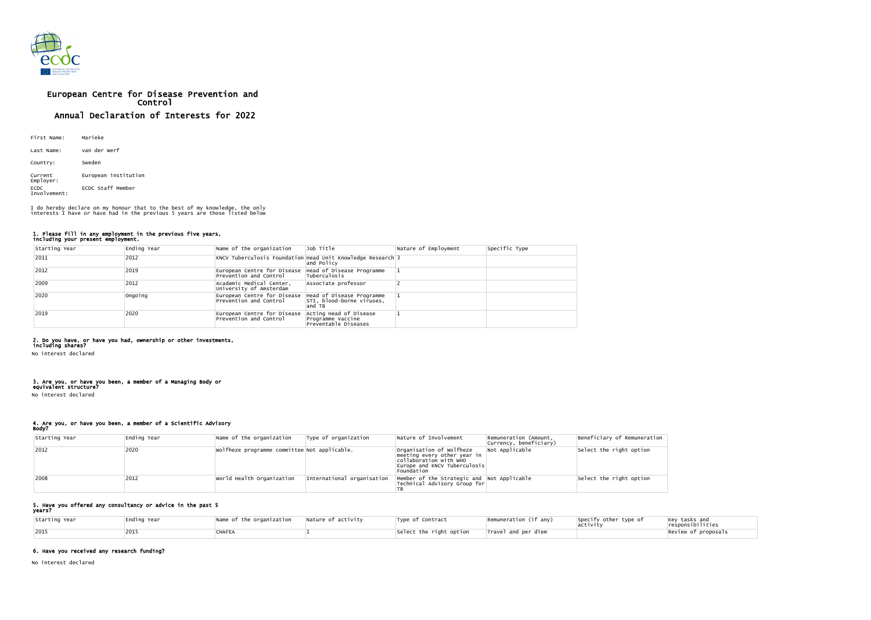

# European Centre for Disease Prevention and Control Annual Declaration of Interests for 2022

| First Name:                 | Marieke              |
|-----------------------------|----------------------|
| Last Name:                  | van der werf         |
| Country:                    | Sweden               |
| Current<br>Employer:        | European institution |
| <b>ECDC</b><br>Involvement: | ECDC Staff Member    |

### 1. Please fill in any employment in the previous five years, including your present employment.

| Starting Year | Ending Year | Name of the organization                              | Job Title                                                                 | Nature of Employment | Specific Type |
|---------------|-------------|-------------------------------------------------------|---------------------------------------------------------------------------|----------------------|---------------|
| 2011          | 2012        |                                                       | KNCV Tuberculosis Foundation Head Unit Knowledge Research 3<br>and Policy |                      |               |
| 2012          | 2019        | European Centre for Disease<br>Prevention and Control | Head of Disease Programme<br>Tuberculosis                                 |                      |               |
| 2009          | 2012        | Academic Medical Center,<br>University of Amsterdam   | Associate professor                                                       |                      |               |
| 2020          | Ongoing     | European Centre for Disease<br>Prevention and Control | Head of Disease Programme<br>STI, blood-borne viruses,<br>and TB          |                      |               |
| 2019          | 2020        | European Centre for Disease<br>Prevention and Control | Acting Head of Disease<br>Programme Vaccine<br>Preventable Diseases       |                      |               |

#### 2. Do you have, or have you had, ownership or other investments, including shares?

No interest declared

#### 3. Are you, or have you been, a member of a Managing Body or equivalent structure?

No interest declared

# 4. Are you, or have you been, a member of a Scientific Advisory

Body?

| Starting Year | Ending Year | Name of the organization                     | Type of organization       | Nature of Involvement                                                                                                                  | Remuneration (Amount,<br> Currency, beneficiary) | Beneficiary of Remuneration |
|---------------|-------------|----------------------------------------------|----------------------------|----------------------------------------------------------------------------------------------------------------------------------------|--------------------------------------------------|-----------------------------|
| $ 2012$       | 2020        | Wolfheze programme committee Not applicable. |                            | Organisation of Wolfheze<br>meeting every other year in<br>collaboration with WHO<br>$ Europe$ and KNCV Tuberculosis $ $<br>Foundation | Not Applicable                                   | Select the right option     |
| 2008          | 2012        | World Health Organization                    | International organisation | Member of the Strategic and Not Applicable<br>Technical Advisory Group for                                                             |                                                  | Select the right option     |

#### 5. Have you offered any consultancy or advice in the past 5 years?

| Starting Year | Ending Year | Name of the organization | $\blacksquare$ Nature of activity | Type of Contract        | Remuneration (if any)           | Specify other type of | $\left  \begin{matrix} \text{Key} \text{ tasks and} \\ \text{responsibilities} \end{matrix} \right $ |
|---------------|-------------|--------------------------|-----------------------------------|-------------------------|---------------------------------|-----------------------|------------------------------------------------------------------------------------------------------|
| 2015          |             | <b>CHAFEA</b>            |                                   | Select the right option | $ {\sf{Travel}}\>$ and per diem |                       | Review of proposals                                                                                  |

## 6. Have you received any research funding?

No interest declared

I do hereby declare on my honour that to the best of my knowledge, the only interests I have or have had in the previous 5 years are those listed below